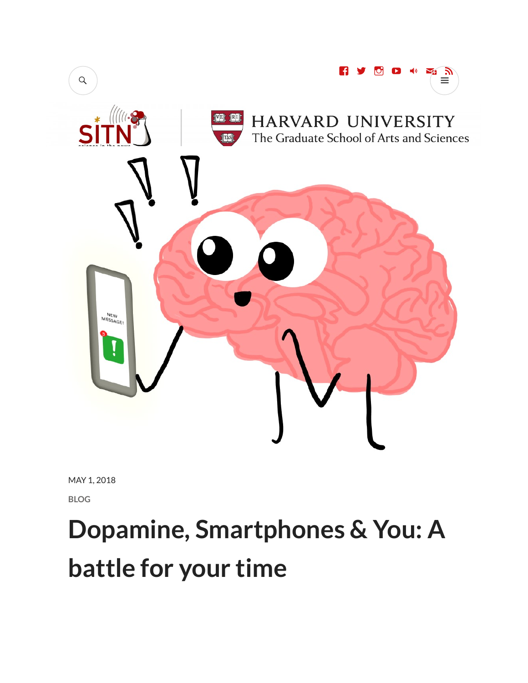

MAY 1, 2018

BLOG

# Dopamine, Smartphones & You: A battle for your time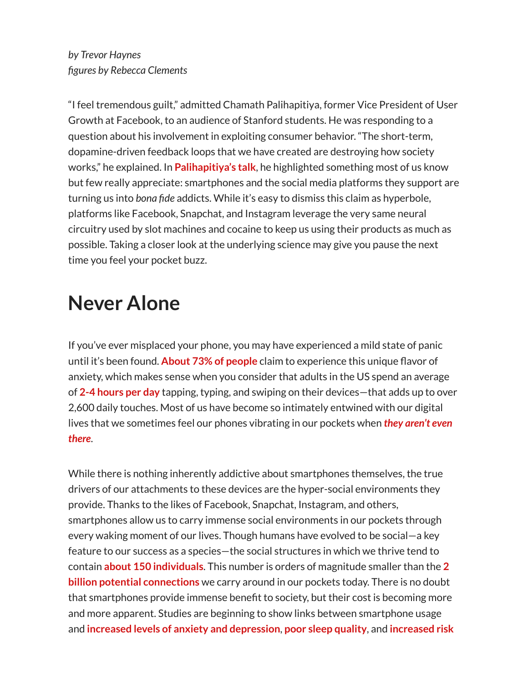"I feel tremendous guilt," admitted Chamath Palihapitiya, former Vice President of User Growth at Facebook, to an audience of Stanford students. He was responding to a question about his involvement in exploiting consumer behavior. "The short-term, dopamine-driven feedback loops that we have created are destroying how society works," he explained. In **Palihapitiya's talk**, he highlighted something most of us know but few really appreciate: smartphones and the social media platforms they support are turning us into bona fide addicts. While it's easy to dismiss this claim as hyperbole, platforms like Facebook, Snapchat, and Instagram leverage the very same neural circuitry used by slot machines and cocaine to keep us using their products as much as possible. Taking a closer look at the underlying science may give you pause the next time you feel your pocket buzz.

## Never Alone

If you've ever misplaced your phone, you may have experienced a mild state of panic until it's been found. About 73% of people claim to experience this unique flavor of anxiety, which makes sense when you consider that adults in the US spend an average of 2-4 hours per day tapping, typing, and swiping on their devices—that adds up to over 2,600 daily touches. Most of us have become so intimately entwined with our digital lives that we sometimes feel our phones vibrating in our pockets when **they aren't even** there.

While there is nothing inherently addictive about smartphones themselves, the true drivers of our attachments to these devices are the hyper-social environments they provide. Thanks to the likes of Facebook, Snapchat, Instagram, and others, smartphones allow us to carry immense social environments in our pockets through every waking moment of our lives. Though humans have evolved to be social—a key feature to our success as a species—the social structures in which we thrive tend to contain about 150 individuals. This number is orders of magnitude smaller than the 2 **billion potential connections** we carry around in our pockets today. There is no doubt that smartphones provide immense benefit to society, but their cost is becoming more and more apparent. Studies are beginning to show links between smartphone usage and increased levels of anxiety and depression, poor sleep quality, and increased risk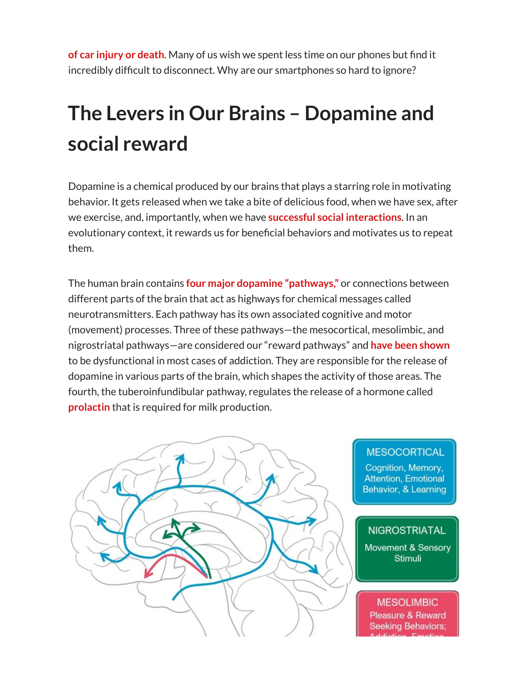of car injury or death. Many of us wish we spent less time on our phones but find it incredibly difficult to disconnect. Why are our smartphones so hard to ignore?

## The Levers in Our Brains – Dopamine and social reward

Dopamine is a chemical produced by our brains that plays a starring role in motivating behavior. It gets released when we take a bite of delicious food, when we have sex, after we exercise, and, importantly, when we have **successful social interactions**. In an evolutionary context, it rewards us for beneficial behaviors and motivates us to repeat them.

The human brain contains **four major dopamine "pathways,"** or connections between different parts of the brain that act as highways for chemical messages called neurotransmitters. Each pathway has its own associated cognitive and motor (movement) processes. Three of these pathways—the mesocortical, mesolimbic, and nigrostriatal pathways—are considered our "reward pathways" and have been shown to be dysfunctional in most cases of addiction. They are responsible for the release of dopamine in various parts of the brain, which shapes the activity of those areas. The fourth, the tuberoinfundibular pathway, regulates the release of a hormone called prolactin that is required for milk production.



#### **MESOCORTICAL**

Cognition, Memory, **Attention, Emotional Behavior, & Learning** 

#### **NIGROSTRIATAL**

Movement & Sensory **Stimuli** 

#### **MESOLIMBIC** Pleasure & Reward **Seeking Behaviors;**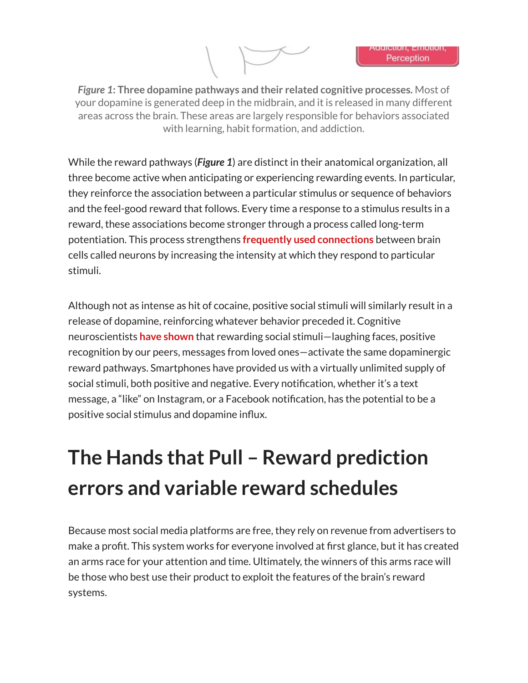Figure 1: Three dopamine pathways and their related cognitive processes. Most of your dopamine is generated deep in the midbrain, and it is released in many different areas across the brain. These areas are largely responsible for behaviors associated with learning, habit formation, and addiction.

While the reward pathways (Figure 1) are distinct in their anatomical organization, all three become active when anticipating or experiencing rewarding events. In particular, they reinforce the association between a particular stimulus or sequence of behaviors and the feel-good reward that follows. Every time a response to a stimulus results in a reward, these associations become stronger through a process called long-term potentiation. This process strengthens frequently used connections between brain cells called neurons by increasing the intensity at which they respond to particular stimuli.

Although not as intense as hit of cocaine, positive social stimuli will similarly result in a release of dopamine, reinforcing whatever behavior preceded it. Cognitive neuroscientists have shown that rewarding social stimuli-laughing faces, positive recognition by our peers, messages from loved ones—activate the same dopaminergic reward pathways. Smartphones have provided us with a virtually unlimited supply of social stimuli, both positive and negative. Every notification, whether it's a text message, a "like" on Instagram, or a Facebook notification, has the potential to be a positive social stimulus and dopamine influx.

## The Hands that Pull – Reward prediction errors and variable reward schedules

Because most social media platforms are free, they rely on revenue from advertisers to make a profit. This system works for everyone involved at first glance, but it has created an arms race for your attention and time. Ultimately, the winners of this arms race will be those who best use their product to exploit the features of the brain's reward systems.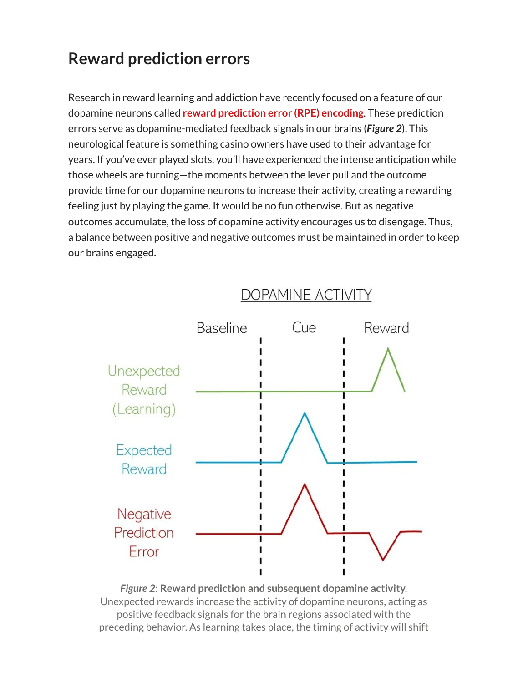### Reward prediction errors

Research in reward learning and addiction have recently focused on a feature of our dopamine neurons called reward prediction error (RPE) encoding. These prediction errors serve as dopamine-mediated feedback signals in our brains (**Figure 2**). This neurological feature is something casino owners have used to their advantage for years. If you've ever played slots, you'll have experienced the intense anticipation while those wheels are turning—the moments between the lever pull and the outcome provide time for our dopamine neurons to increase their activity, creating a rewarding feeling just by playing the game. It would be no fun otherwise. But as negative outcomes accumulate, the loss of dopamine activity encourages us to disengage. Thus, a balance between positive and negative outcomes must be maintained in order to keep our brains engaged.



Figure 2: Reward prediction and subsequent dopamine activity. Unexpected rewards increase the activity of dopamine neurons, acting as positive feedback signals for the brain regions associated with the preceding behavior. As learning takes place, the timing of activity will shift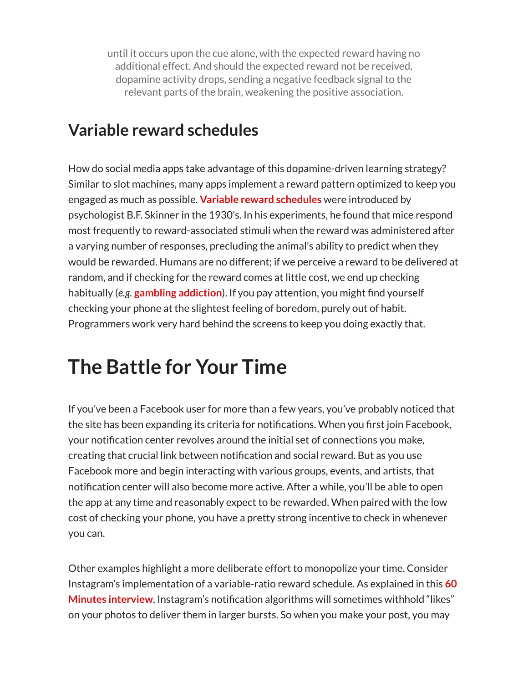until it occurs upon the cue alone, with the expected reward having no additional effect. And should the expected reward not be received, dopamine activity drops, sending a negative feedback signal to the relevant parts of the brain, weakening the positive association.

### Variable reward schedules

How do social media apps take advantage of this dopamine-driven learning strategy? Similar to slot machines, many apps implement a reward pattern optimized to keep you engaged as much as possible. Variable reward schedules were introduced by psychologist B.F. Skinner in the 1930's. In his experiments, he found that mice respond most frequently to reward-associated stimuli when the reward was administered after a varying number of responses, precluding the animal's ability to predict when they would be rewarded. Humans are no different; if we perceive a reward to be delivered at random, and if checking for the reward comes at little cost, we end up checking habitually (e.g. gambling addiction). If you pay attention, you might find yourself checking your phone at the slightest feeling of boredom, purely out of habit. Programmers work very hard behind the screens to keep you doing exactly that.

## The Battle for Your Time

If you've been a Facebook user for more than a few years, you've probably noticed that the site has been expanding its criteria for notifications. When you first join Facebook, your notification center revolves around the initial set of connections you make, creating that crucial link between notification and social reward. But as you use Facebook more and begin interacting with various groups, events, and artists, that notification center will also become more active. After a while, you'll be able to open the app at any time and reasonably expect to be rewarded. When paired with the low cost of checking your phone, you have a pretty strong incentive to check in whenever you can.

Other examples highlight a more deliberate effort to monopolize your time. Consider Instagram's implementation of a variable-ratio reward schedule. As explained in this 60 Minutes interview, Instagram's notification algorithms will sometimes withhold "likes" on your photos to deliver them in larger bursts. So when you make your post, you may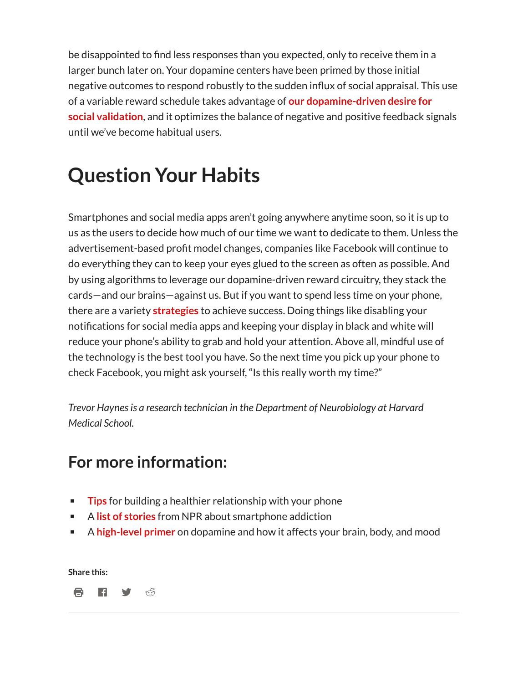be disappointed to find less responses than you expected, only to receive them in a larger bunch later on. Your dopamine centers have been primed by those initial negative outcomes to respond robustly to the sudden influx of social appraisal. This use of a variable reward schedule takes advantage of our dopamine-driven desire for social validation, and it optimizes the balance of negative and positive feedback signals until we've become habitual users.

## Question Your Habits

Smartphones and social media apps aren't going anywhere anytime soon, so it is up to us as the users to decide how much of our time we want to dedicate to them. Unless the advertisement-based profit model changes, companies like Facebook will continue to do everything they can to keep your eyes glued to the screen as often as possible. And by using algorithms to leverage our dopamine-driven reward circuitry, they stack the cards—and our brains—against us. But if you want to spend less time on your phone, there are a variety strategies to achieve success. Doing things like disabling your notifications for social media apps and keeping your display in black and white will reduce your phone's ability to grab and hold your attention. Above all, mindful use of the technology is the best tool you have. So the next time you pick up your phone to check Facebook, you might ask yourself, "Is this really worth my time?"

Trevor Haynes is a research technician in the Department of Neurobiology at Harvard Medical School.

### For more information:

- Tips for building a healthier relationship with your phone
- A list of stories from NPR about smartphone addiction
- **EXTE:** A high-level primer on dopamine and how it affects your brain, body, and mood

Share this:

骨 日 ダ ぷ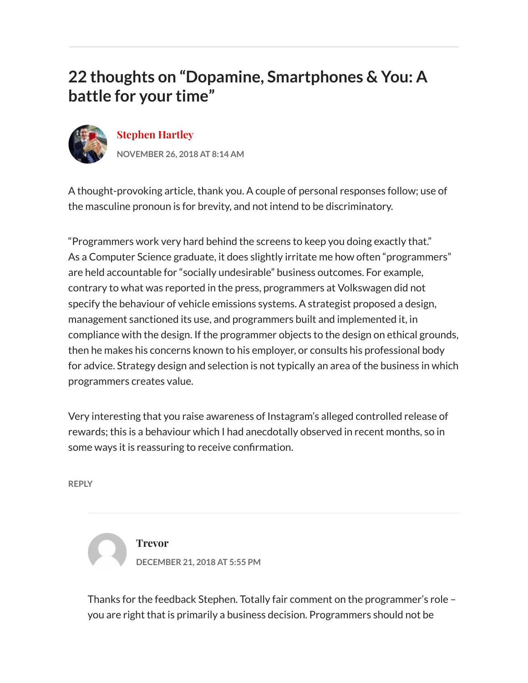### 22 thoughts on "Dopamine, Smartphones & You: A battle for your time"



#### Stephen Hartley

NOVEMBER 26, 2018 AT 8:14 AM

A thought-provoking article, thank you. A couple of personal responses follow; use of the masculine pronoun is for brevity, and not intend to be discriminatory.

"Programmers work very hard behind the screens to keep you doing exactly that." As a Computer Science graduate, it does slightly irritate me how often "programmers" are held accountable for "socially undesirable" business outcomes. For example, contrary to what was reported in the press, programmers at Volkswagen did not specify the behaviour of vehicle emissions systems. A strategist proposed a design, management sanctioned its use, and programmers built and implemented it, in compliance with the design. If the programmer objects to the design on ethical grounds, then he makes his concerns known to his employer, or consults his professional body for advice. Strategy design and selection is not typically an area of the business in which programmers creates value.

Very interesting that you raise awareness of Instagram's alleged controlled release of rewards; this is a behaviour which I had anecdotally observed in recent months, so in some ways it is reassuring to receive confirmation.

REPLY



Trevor DECEMBER 21, 2018 AT 5:55 PM

Thanks for the feedback Stephen. Totally fair comment on the programmer's role – you are right that is primarily a business decision. Programmers should not be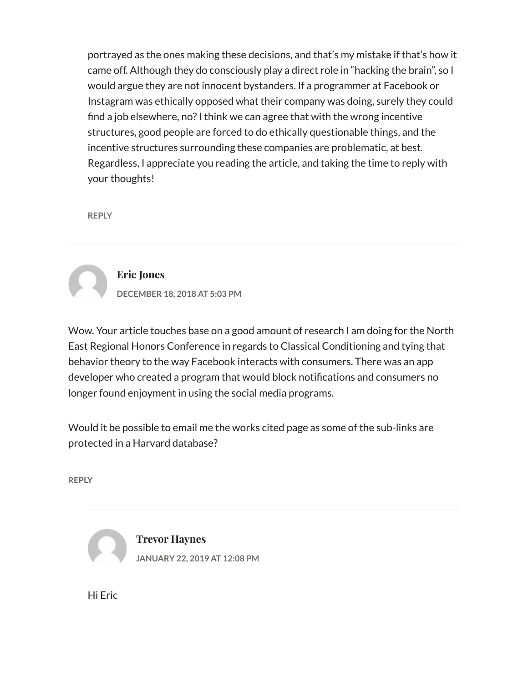portrayed as the ones making these decisions, and that's my mistake if that's how it came off. Although they do consciously play a direct role in "hacking the brain", so I would argue they are not innocent bystanders. If a programmer at Facebook or Instagram was ethically opposed what their company was doing, surely they could find a job elsewhere, no? I think we can agree that with the wrong incentive structures, good people are forced to do ethically questionable things, and the incentive structures surrounding these companies are problematic, at best. Regardless, I appreciate you reading the article, and taking the time to reply with your thoughts!

REPLY



#### Eric Jones

DECEMBER 18, 2018 AT 5:03 PM

Wow. Your article touches base on a good amount of research I am doing for the North East Regional Honors Conference in regards to Classical Conditioning and tying that behavior theory to the way Facebook interacts with consumers. There was an app developer who created a program that would block notifications and consumers no longer found enjoyment in using the social media programs.

Would it be possible to email me the works cited page as some of the sub-links are protected in a Harvard database?

REPLY



Hi Eric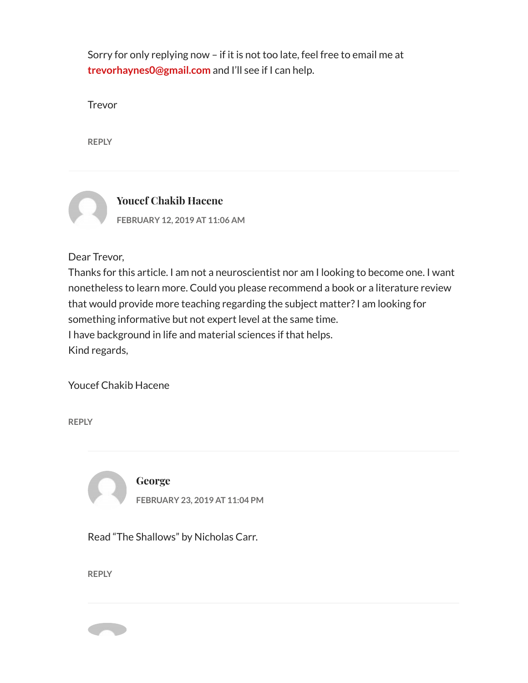Sorry for only replying now – if it is not too late, feel free to email me at trevorhaynes0@gmail.com and I'll see if I can help.

Trevor

REPLY



Dear Trevor,

Thanks for this article. I am not a neuroscientist nor am I looking to become one. I want nonetheless to learn more. Could you please recommend a book or a literature review that would provide more teaching regarding the subject matter? I am looking for something informative but not expert level at the same time. I have background in life and material sciences if that helps. Kind regards,

Youcef Chakib Hacene

REPLY

George FEBRUARY 23, 2019 AT 11:04 PM

Read "The Shallows" by Nicholas Carr.

REPLY

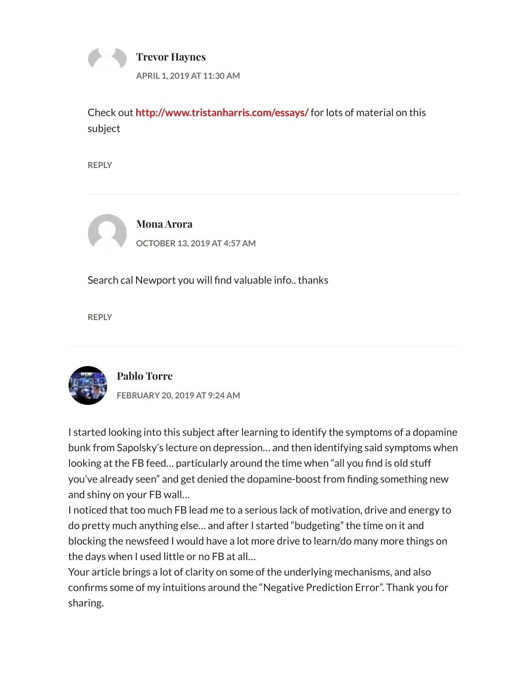

Check out http://www.tristanharris.com/essays/ for lots of material on this subject

REPLY



Mona Arora OCTOBER 13, 2019 AT 4:57 AM

Search cal Newport you will find valuable info.. thanks

REPLY



Pablo Torre

FEBRUARY 20, 2019 AT 9:24 AM

I started looking into this subject after learning to identify the symptoms of a dopamine bunk from Sapolsky's lecture on depression… and then identifying said symptoms when looking at the FB feed… particularly around the time when "all you find is old stuff you've already seen" and get denied the dopamine-boost from finding something new and shiny on your FB wall…

I noticed that too much FB lead me to a serious lack of motivation, drive and energy to do pretty much anything else… and after I started "budgeting" the time on it and blocking the newsfeed I would have a lot more drive to learn/do many more things on the days when I used little or no FB at all…

Your article brings a lot of clarity on some of the underlying mechanisms, and also confirms some of my intuitions around the "Negative Prediction Error". Thank you for sharing.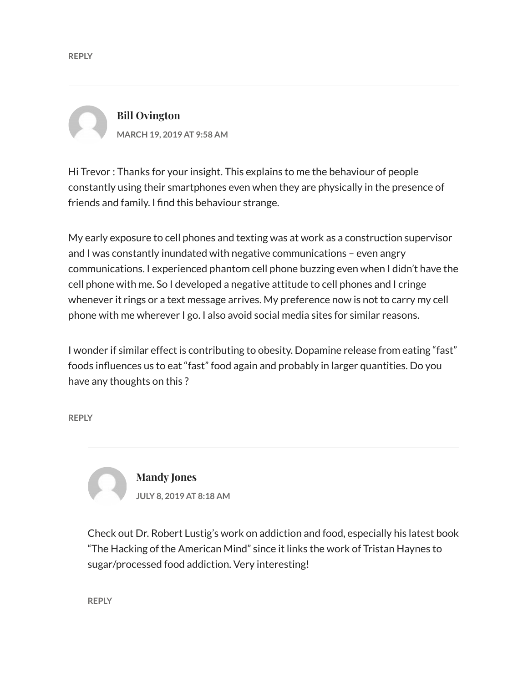Bill Ovington MARCH 19, 2019 AT 9:58 AM

Hi Trevor : Thanks for your insight. This explains to me the behaviour of people constantly using their smartphones even when they are physically in the presence of friends and family. I find this behaviour strange.

My early exposure to cell phones and texting was at work as a construction supervisor and I was constantly inundated with negative communications – even angry communications. I experienced phantom cell phone buzzing even when I didn't have the cell phone with me. So I developed a negative attitude to cell phones and I cringe whenever it rings or a text message arrives. My preference now is not to carry my cell phone with me wherever I go. I also avoid social media sites for similar reasons.

I wonder if similar effect is contributing to obesity. Dopamine release from eating "fast" foods influences us to eat "fast" food again and probably in larger quantities. Do you have any thoughts on this ?

REPLY



Check out Dr. Robert Lustig's work on addiction and food, especially his latest book "The Hacking of the American Mind" since it links the work of Tristan Haynes to sugar/processed food addiction. Very interesting!

REPLY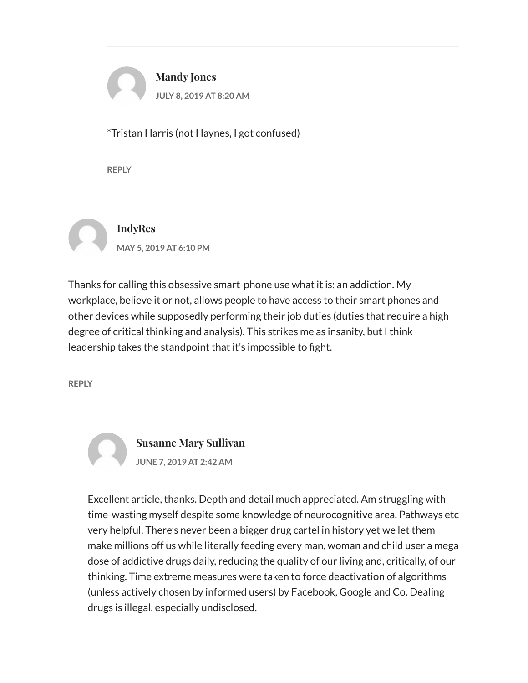

\*Tristan Harris (not Haynes, I got confused)

REPLY



Thanks for calling this obsessive smart-phone use what it is: an addiction. My workplace, believe it or not, allows people to have access to their smart phones and other devices while supposedly performing their job duties (duties that require a high degree of critical thinking and analysis). This strikes me as insanity, but I think leadership takes the standpoint that it's impossible to fight.

REPLY

Susanne Mary Sullivan JUNE 7, 2019 AT 2:42 AM

Excellent article, thanks. Depth and detail much appreciated. Am struggling with time-wasting myself despite some knowledge of neurocognitive area. Pathways etc very helpful. There's never been a bigger drug cartel in history yet we let them make millions off us while literally feeding every man, woman and child user a mega dose of addictive drugs daily, reducing the quality of our living and, critically, of our thinking. Time extreme measures were taken to force deactivation of algorithms (unless actively chosen by informed users) by Facebook, Google and Co. Dealing drugs is illegal, especially undisclosed.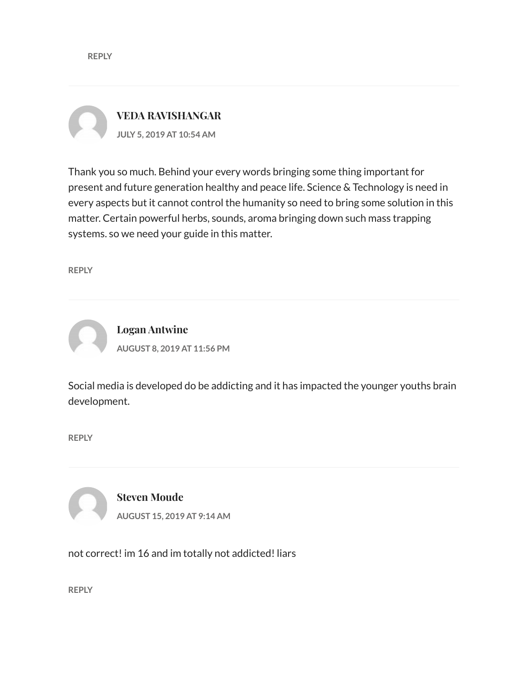VEDA RAVISHANGAR JULY 5, 2019 AT 10:54 AM

Thank you so much. Behind your every words bringing some thing important for present and future generation healthy and peace life. Science & Technology is need in every aspects but it cannot control the humanity so need to bring some solution in this matter. Certain powerful herbs, sounds, aroma bringing down such mass trapping systems. so we need your guide in this matter.

REPLY



Social media is developed do be addicting and it has impacted the younger youths brain development.

REPLY

Steven Moude AUGUST 15, 2019 AT 9:14 AM

not correct! im 16 and im totally not addicted! liars

REPLY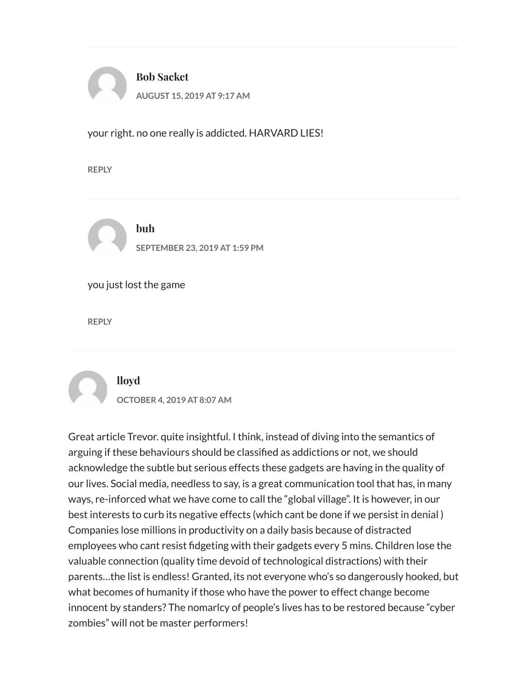

your right. no one really is addicted. HARVARD LIES!

REPLY



buh SEPTEMBER 23, 2019 AT 1:59 PM

you just lost the game

REPLY

### lloyd

OCTOBER 4, 2019 AT 8:07 AM

Great article Trevor. quite insightful. I think, instead of diving into the semantics of arguing if these behaviours should be classified as addictions or not, we should acknowledge the subtle but serious effects these gadgets are having in the quality of our lives. Social media, needless to say, is a great communication tool that has, in many ways, re-inforced what we have come to call the "global village". It is however, in our best interests to curb its negative effects (which cant be done if we persist in denial ) Companies lose millions in productivity on a daily basis because of distracted employees who cant resist fidgeting with their gadgets every 5 mins. Children lose the valuable connection (quality time devoid of technological distractions) with their parents…the list is endless! Granted, its not everyone who's so dangerously hooked, but what becomes of humanity if those who have the power to effect change become innocent by standers? The nomarlcy of people's lives has to be restored because "cyber zombies" will not be master performers!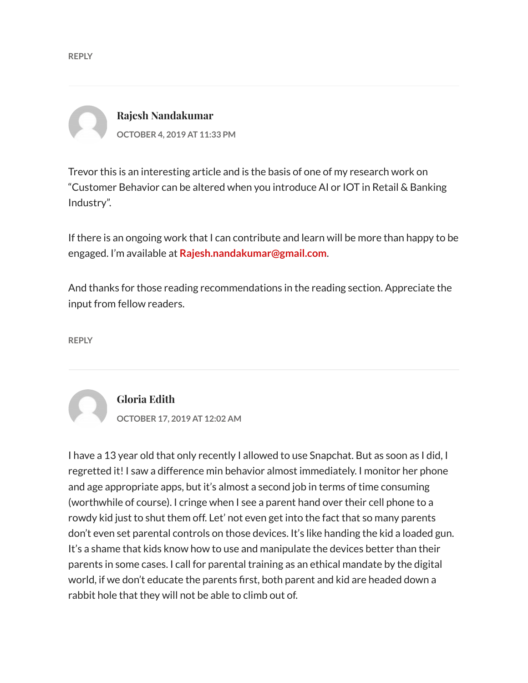Rajesh Nandakumar OCTOBER 4, 2019 AT 11:33 PM

Trevor this is an interesting article and is the basis of one of my research work on "Customer Behavior can be altered when you introduce AI or IOT in Retail & Banking Industry".

If there is an ongoing work that I can contribute and learn will be more than happy to be engaged. I'm available at Rajesh.nandakumar@gmail.com.

And thanks for those reading recommendations in the reading section. Appreciate the input from fellow readers.

REPLY

### Gloria Edith

OCTOBER 17, 2019 AT 12:02 AM

I have a 13 year old that only recently I allowed to use Snapchat. But as soon as I did, I regretted it! I saw a difference min behavior almost immediately. I monitor her phone and age appropriate apps, but it's almost a second job in terms of time consuming (worthwhile of course). I cringe when I see a parent hand over their cell phone to a rowdy kid just to shut them off. Let' not even get into the fact that so many parents don't even set parental controls on those devices. It's like handing the kid a loaded gun. It's a shame that kids know how to use and manipulate the devices better than their parents in some cases. I call for parental training as an ethical mandate by the digital world, if we don't educate the parents first, both parent and kid are headed down a rabbit hole that they will not be able to climb out of.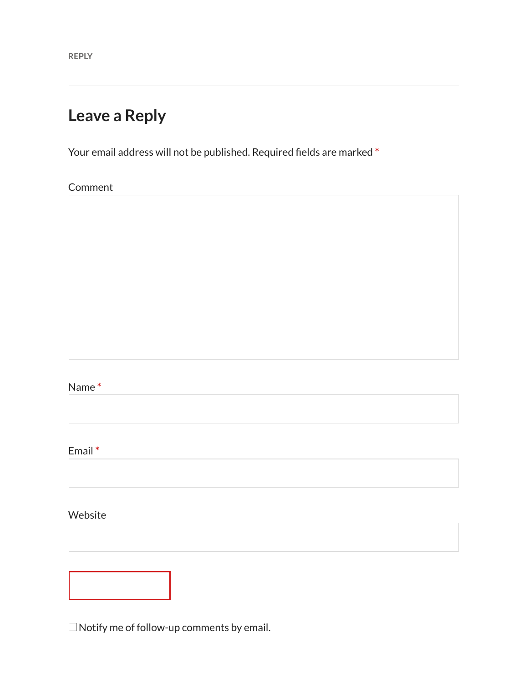REPLY

### Leave a Reply

Your email address will not be published. Required fields are marked \*

Comment

#### Name \*

Email \*

Website

 $\square$  Notify me of follow-up comments by email.